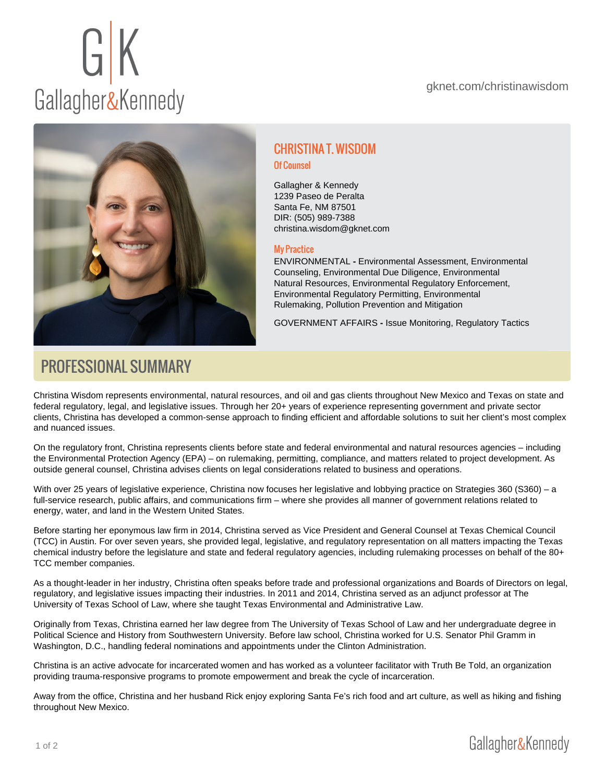# CHRISTINA T. WISDOM

Of Counsel

Gallagher & Kennedy 1239 Paseo de Peralta Santa Fe, NM 87501 DIR: (505) 989-7388 [christina.wisdom@gknet.com](mailto:christina.wisdom@gknet.com)

#### My Practice

[ENVIRONMENTAL](https://gknet.com/departments/environmental/) - Environmental Assessment, Environmental Counseling, Environmental Due Diligence, Environmental Natural Resources, Environmental Regulatory Enforcement, Environmental Regulatory Permitting, Environmental Rulemaking, Pollution Prevention and Mitigation

[GOVERNMENT AFFAIRS](https://gknet.com/departments/government-affairs-and-regulatory-law/) - Issue Monitoring, Regulatory Tactics

## PROFESSIONAL SUMMARY

Christina Wisdom represents environmental, natural resources, and oil and gas clients throughout New Mexico and Texas on state and federal regulatory, legal, and legislative issues. Through her 20+ years of experience representing government and private sector clients, Christina has developed a common-sense approach to finding efficient and affordable solutions to suit her client's most complex and nuanced issues.

On the regulatory front, Christina represents clients before state and federal environmental and natural resources agencies – including the Environmental Protection Agency (EPA) – on rulemaking, permitting, compliance, and matters related to project development. As outside general counsel, Christina advises clients on legal considerations related to business and operations.

With over 25 years of legislative experience, Christina now focuses her legislative and lobbying practice on Strategies 360 (S360) – a full-service research, public affairs, and communications firm – where she provides all manner of government relations related to energy, water, and land in the Western United States.

Before starting her eponymous law firm in 2014, Christina served as Vice President and General Counsel at Texas Chemical Council (TCC) in Austin. For over seven years, she provided legal, legislative, and regulatory representation on all matters impacting the Texas chemical industry before the legislature and state and federal regulatory agencies, including rulemaking processes on behalf of the 80+ TCC member companies.

As a thought-leader in her industry, Christina often speaks before trade and professional organizations and Boards of Directors on legal, regulatory, and legislative issues impacting their industries. In 2011 and 2014, Christina served as an adjunct professor at The University of Texas School of Law, where she taught Texas Environmental and Administrative Law.

Originally from Texas, Christina earned her law degree from The University of Texas School of Law and her undergraduate degree in Political Science and History from Southwestern University. Before law school, Christina worked for U.S. Senator Phil Gramm in Washington, D.C., handling federal nominations and appointments under the Clinton Administration.

Christina is an active advocate for incarcerated women and has worked as a volunteer facilitator with Truth Be Told, an organization providing trauma-responsive programs to promote empowerment and break the cycle of incarceration.

Away from the office, Christina and her husband Rick enjoy exploring Santa Fe's rich food and art culture, as well as hiking and fishing throughout New Mexico.